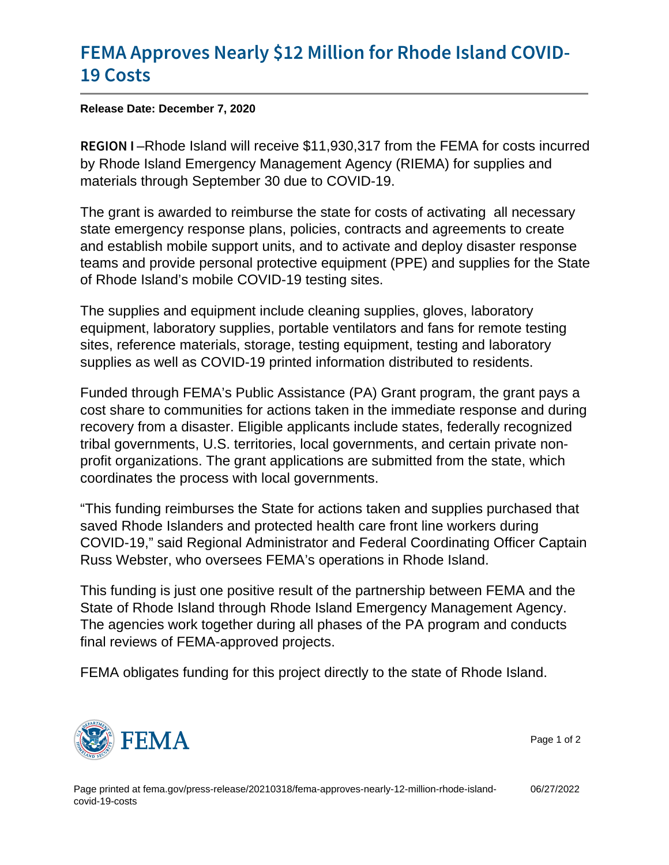## [FEMA Approves Nearly \\$12 Million](https://www.fema.gov/press-release/20210318/fema-approves-nearly-12-million-rhode-island-covid-19-costs) for Rho [19 Co](https://www.fema.gov/press-release/20210318/fema-approves-nearly-12-million-rhode-island-covid-19-costs)sts

Release Date: December 7, 2020

REGIOR hode Island will receive \$11,930,317 from the FEMA for costs incurred by Rhode Island Emergency Management Agency (RIEMA) for supplies and materials through September 30 due to COVID-19.

The grant is awarded to reimburse the state for costs of activating all necessary state emergency response plans, policies, contracts and agreements to create and establish mobile support units, and to activate and deploy disaster response teams and provide personal protective equipment (PPE) and supplies for the State of Rhode Island's mobile COVID-19 testing sites.

The supplies and equipment include cleaning supplies, gloves, laboratory equipment, laboratory supplies, portable ventilators and fans for remote testing sites, reference materials, storage, testing equipment, testing and laboratory supplies as well as COVID-19 printed information distributed to residents.

Funded through FEMA's Public Assistance (PA) Grant program, the grant pays a cost share to communities for actions taken in the immediate response and during recovery from a disaster. Eligible applicants include states, federally recognized tribal governments, U.S. territories, local governments, and certain private nonprofit organizations. The grant applications are submitted from the state, which coordinates the process with local governments.

"This funding reimburses the State for actions taken and supplies purchased that saved Rhode Islanders and protected health care front line workers during COVID-19," said Regional Administrator and Federal Coordinating Officer Captain Russ Webster, who oversees FEMA's operations in Rhode Island.

This funding is just one positive result of the partnership between FEMA and the State of Rhode Island through Rhode Island Emergency Management Agency. The agencies work together during all phases of the PA program and conducts final reviews of FEMA-approved projects.

FEMA obligates funding for this project directly to the state of Rhode Island.



Page 1 of 2